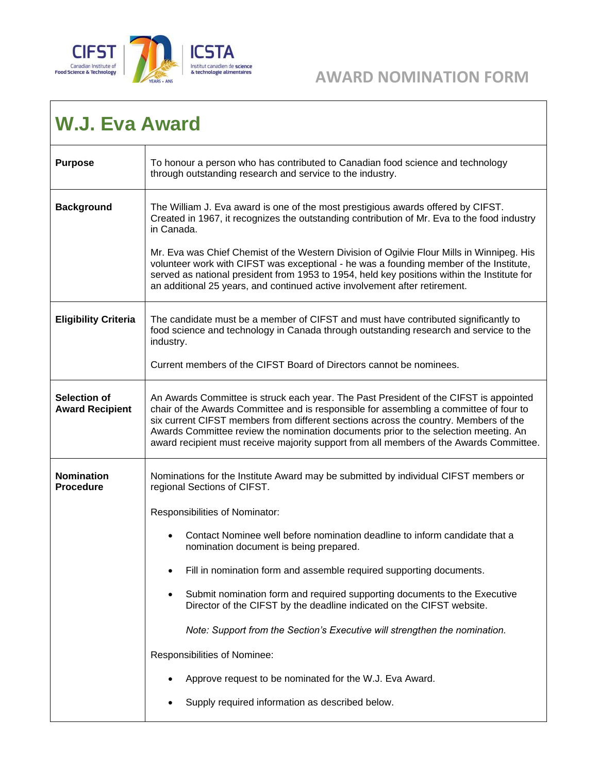

## *AWARD NOMINATION FORM*

## **W.J. Eva Award**

| <b>Purpose</b>                                | To honour a person who has contributed to Canadian food science and technology<br>through outstanding research and service to the industry.                                                                                                                                                                                                                                                                                                               |
|-----------------------------------------------|-----------------------------------------------------------------------------------------------------------------------------------------------------------------------------------------------------------------------------------------------------------------------------------------------------------------------------------------------------------------------------------------------------------------------------------------------------------|
| <b>Background</b>                             | The William J. Eva award is one of the most prestigious awards offered by CIFST.<br>Created in 1967, it recognizes the outstanding contribution of Mr. Eva to the food industry<br>in Canada.                                                                                                                                                                                                                                                             |
|                                               | Mr. Eva was Chief Chemist of the Western Division of Ogilvie Flour Mills in Winnipeg. His<br>volunteer work with CIFST was exceptional - he was a founding member of the Institute,<br>served as national president from 1953 to 1954, held key positions within the Institute for<br>an additional 25 years, and continued active involvement after retirement.                                                                                          |
| <b>Eligibility Criteria</b>                   | The candidate must be a member of CIFST and must have contributed significantly to<br>food science and technology in Canada through outstanding research and service to the<br>industry.                                                                                                                                                                                                                                                                  |
|                                               | Current members of the CIFST Board of Directors cannot be nominees.                                                                                                                                                                                                                                                                                                                                                                                       |
| <b>Selection of</b><br><b>Award Recipient</b> | An Awards Committee is struck each year. The Past President of the CIFST is appointed<br>chair of the Awards Committee and is responsible for assembling a committee of four to<br>six current CIFST members from different sections across the country. Members of the<br>Awards Committee review the nomination documents prior to the selection meeting. An<br>award recipient must receive majority support from all members of the Awards Committee. |
| <b>Nomination</b><br><b>Procedure</b>         | Nominations for the Institute Award may be submitted by individual CIFST members or<br>regional Sections of CIFST.                                                                                                                                                                                                                                                                                                                                        |
|                                               | Responsibilities of Nominator:                                                                                                                                                                                                                                                                                                                                                                                                                            |
|                                               | Contact Nominee well before nomination deadline to inform candidate that a<br>nomination document is being prepared.                                                                                                                                                                                                                                                                                                                                      |
|                                               | Fill in nomination form and assemble required supporting documents.<br>$\bullet$                                                                                                                                                                                                                                                                                                                                                                          |
|                                               | Submit nomination form and required supporting documents to the Executive<br>Director of the CIFST by the deadline indicated on the CIFST website.                                                                                                                                                                                                                                                                                                        |
|                                               | Note: Support from the Section's Executive will strengthen the nomination.                                                                                                                                                                                                                                                                                                                                                                                |
|                                               | Responsibilities of Nominee:                                                                                                                                                                                                                                                                                                                                                                                                                              |
|                                               | Approve request to be nominated for the W.J. Eva Award.                                                                                                                                                                                                                                                                                                                                                                                                   |
|                                               | Supply required information as described below.                                                                                                                                                                                                                                                                                                                                                                                                           |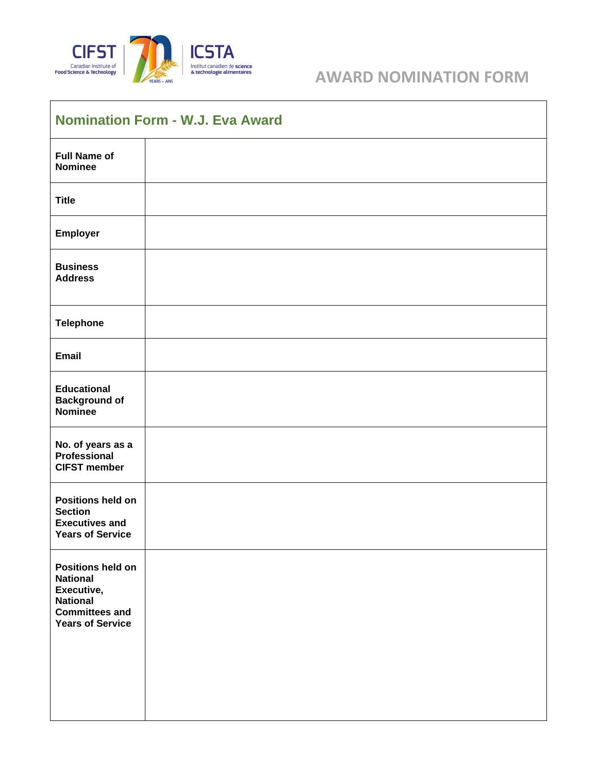

## **AWARD NOMINATION FORM**

| <b>Nomination Form - W.J. Eva Award</b>                                                                                          |  |  |
|----------------------------------------------------------------------------------------------------------------------------------|--|--|
| <b>Full Name of</b><br><b>Nominee</b>                                                                                            |  |  |
| <b>Title</b>                                                                                                                     |  |  |
| Employer                                                                                                                         |  |  |
| <b>Business</b><br><b>Address</b>                                                                                                |  |  |
| <b>Telephone</b>                                                                                                                 |  |  |
| <b>Email</b>                                                                                                                     |  |  |
| <b>Educational</b><br><b>Background of</b><br><b>Nominee</b>                                                                     |  |  |
| No. of years as a<br><b>Professional</b><br><b>CIFST member</b>                                                                  |  |  |
| <b>Positions held on</b><br><b>Section</b><br><b>Executives and</b><br><b>Years of Service</b>                                   |  |  |
| <b>Positions held on</b><br><b>National</b><br>Executive,<br><b>National</b><br><b>Committees and</b><br><b>Years of Service</b> |  |  |